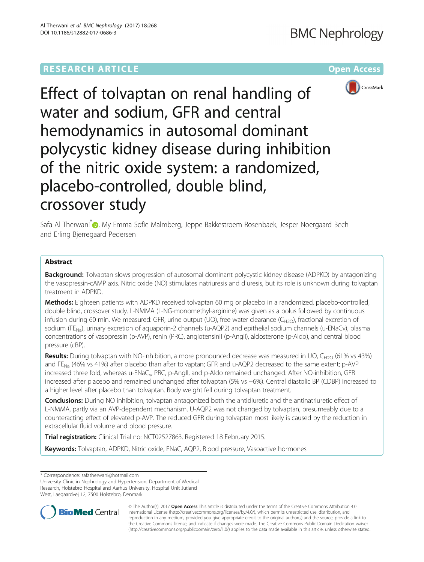# **RESEARCH ARTICLE Example 2014 12:30 The Community Community Community Community Community Community Community**



Effect of tolvaptan on renal handling of water and sodium, GFR and central hemodynamics in autosomal dominant polycystic kidney disease during inhibition of the nitric oxide system: a randomized, placebo-controlled, double blind, crossover study

Safa Al Therwani<sup>[\\*](http://orcid.org/0000-0002-8563-9414)</sup> <sub>(D</sub>, My Emma Sofie Malmberg, Jeppe Bakkestroem Rosenbaek, Jesper Noergaard Bech and Erling Bjerregaard Pedersen

## Abstract

**Background:** Tolvaptan slows progression of autosomal dominant polycystic kidney disease (ADPKD) by antagonizing the vasopressin-cAMP axis. Nitric oxide (NO) stimulates natriuresis and diuresis, but its role is unknown during tolvaptan treatment in ADPKD.

Methods: Eighteen patients with ADPKD received tolvaptan 60 mg or placebo in a randomized, placebo-controlled, double blind, crossover study. L-NMMA (L-NG-monomethyl-arginine) was given as a bolus followed by continuous infusion during 60 min. We measured: GFR, urine output (UO), free water clearance ( $C_{H2O}$ ), fractional excretion of sodium (FE<sub>Na</sub>), urinary excretion of aquaporin-2 channels (u-AQP2) and epithelial sodium channels (u-ENaCγ), plasma concentrations of vasopressin (p-AVP), renin (PRC), angiotensinII (p-AngII), aldosterone (p-Aldo), and central blood pressure (cBP).

Results: During tolvaptan with NO-inhibition, a more pronounced decrease was measured in UO, C<sub>H2O</sub> (61% vs 43%) and FE<sub>Na</sub> (46% vs 41%) after placebo than after tolvaptan; GFR and u-AQP2 decreased to the same extent; p-AVP increased three fold, whereas u-ENaC<sub>γ</sub>, PRC, p-AngII, and p-Aldo remained unchanged. After NO-inhibition, GFR increased after placebo and remained unchanged after tolvaptan (5% vs −6%). Central diastolic BP (CDBP) increased to a higher level after placebo than tolvaptan. Body weight fell during tolvaptan treatment.

**Conclusions:** During NO inhibition, tolvaptan antagonized both the antidiuretic and the antinatriuretic effect of L-NMMA, partly via an AVP-dependent mechanism. U-AQP2 was not changed by tolvaptan, presumeably due to a counteracting effect of elevated p-AVP. The reduced GFR during tolvaptan most likely is caused by the reduction in extracellular fluid volume and blood pressure.

Trial registration: Clinical Trial no: [NCT02527863.](https://register.clinicaltrials.gov/prs/app/action/SelectProtocol?sid=S0004VNI&selectaction=Edit&uid=U00008JW&ts=7&cx=8qdopt) Registered 18 February 2015.

Keywords: Tolvaptan, ADPKD, Nitric oxide, ENaC, AQP2, Blood pressure, Vasoactive hormones

\* Correspondence: [safatherwani@hotmail.com](mailto:safatherwani@hotmail.com)

University Clinic in Nephrology and Hypertension, Department of Medical Research, Holstebro Hospital and Aarhus University, Hospital Unit Jutland West, Laegaardvej 12, 7500 Holstebro, Denmark



© The Author(s). 2017 **Open Access** This article is distributed under the terms of the Creative Commons Attribution 4.0 International License [\(http://creativecommons.org/licenses/by/4.0/](http://creativecommons.org/licenses/by/4.0/)), which permits unrestricted use, distribution, and reproduction in any medium, provided you give appropriate credit to the original author(s) and the source, provide a link to the Creative Commons license, and indicate if changes were made. The Creative Commons Public Domain Dedication waiver [\(http://creativecommons.org/publicdomain/zero/1.0/](http://creativecommons.org/publicdomain/zero/1.0/)) applies to the data made available in this article, unless otherwise stated.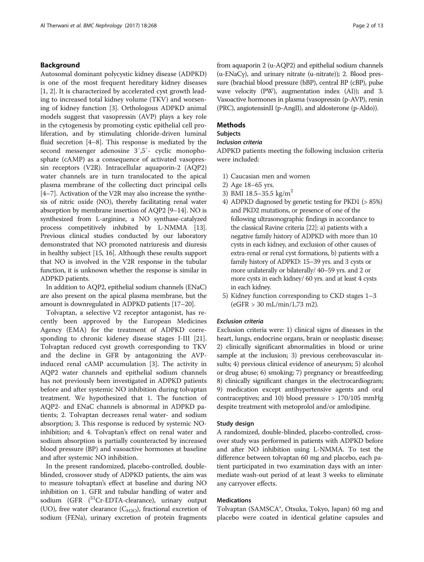## Background

Autosomal dominant polycystic kidney disease (ADPKD) is one of the most frequent hereditary kidney diseases [[1, 2\]](#page-11-0). It is characterized by accelerated cyst growth leading to increased total kidney volume (TKV) and worsening of kidney function [[3\]](#page-11-0). Orthologous ADPKD animal models suggest that vasopressin (AVP) plays a key role in the cytogenesis by promoting cystic epithelial cell proliferation, and by stimulating chloride-driven luminal fluid secretion [[4](#page-11-0)–[8\]](#page-11-0). This response is mediated by the second messenger adenosine 3′,5′- cyclic monophosphate (cAMP) as a consequence of activated vasopressin receptors (V2R). Intracellular aquaporin-2 (AQP2) water channels are in turn translocated to the apical plasma membrane of the collecting duct principal cells [[4](#page-11-0)–[7\]](#page-11-0). Activation of the V2R may also increase the synthesis of nitric oxide (NO), thereby facilitating renal water absorption by membrane insertion of AQP2 [[9](#page-11-0)–[14\]](#page-12-0). NO is synthesized from L-arginine, a NO synthase-catalyzed process competitively inhibited by L-NMMA [[13](#page-12-0)]. Previous clinical studies conducted by our laboratory demonstrated that NO promoted natriuresis and diuresis in healthy subject [[15](#page-12-0), [16\]](#page-12-0). Although these results support that NO is involved in the V2R response in the tubular function, it is unknown whether the response is similar in ADPKD patients.

In addition to AQP2, epithelial sodium channels (ENaC) are also present on the apical plasma membrane, but the amount is downregulated in ADPKD patients [\[17](#page-12-0)–[20](#page-12-0)].

Tolvaptan, a selective V2 receptor antagonist, has recently been approved by the European Medicines Agency (EMA) for the treatment of ADPKD corresponding to chronic kideney disease stages I-III [\[21](#page-12-0)]. Tolvaptan reduced cyst growth corresponding to TKV and the decline in GFR by antagonizing the AVPinduced renal cAMP accumulation [[3\]](#page-11-0). The activity in AQP2 water channels and epithelial sodium channels has not previously been investigated in ADPKD patients before and after systemic NO inhibition during tolvaptan treatment. We hypothesized that 1. The function of AQP2- and ENaC channels is abnormal in ADPKD patients; 2. Tolvaptan decreases renal water- and sodium absorption; 3. This response is reduced by systemic NOinhibition; and 4. Tolvaptan's effect on renal water and sodium absorption is partially counteracted by increased blood pressure (BP) and vasoactive hormones at baseline and after systemic NO inhibition.

In the present randomized, placebo-controlled, doubleblinded, crossover study of ADPKD patients, the aim was to measure tolvaptan's effect at baseline and during NO inhibition on 1. GFR and tubular handling of water and sodium (GFR (<sup>51</sup>Cr-EDTA-clearance), urinary output (UO), free water clearance  $(C_{H2O})$ , fractional excretion of sodium (FENa), urinary excretion of protein fragments from aquaporin 2 (u-AQP2) and epithelial sodium channels (u-ENaCγ), and urinary nitrate (u-nitrate)); 2. Blood pressure (brachial blood pressure (bBP), central BP (cBP), pulse wave velocity (PW), augmentation index (AI)); and 3. Vasoactive hormones in plasma (vasopressin (p-AVP), renin (PRC), angiotensinII (p-AngII), and aldosterone (p-Aldo)).

## Methods

## Subjects

## Inclusion criteria

ADPKD patients meeting the following inclusion criteria were included:

- 1) Caucasian men and women
- 2) Age 18–65 yrs.
- 3) BMI 18.5–35.5 kg/m<sup>2</sup>
- 4) ADPKD diagnosed by genetic testing for PKD1 (> 85%) and PKD2 mutations, or presence of one of the following ultrasonographic findings in accordance to the classical Ravine criteria [\[22](#page-12-0)]: a) patients with a negative family history of ADPKD with more than 10 cysts in each kidney, and exclusion of other causes of extra-renal or renal cyst formations, b) patients with a family history of ADPKD: 15–39 yrs. and 3 cysts or more unilaterally or bilaterally/ 40–59 yrs. and 2 or more cysts in each kidney/ 60 yrs. and at least 4 cysts in each kidney.
- 5) Kidney function corresponding to CKD stages 1–3 (eGFR > 30 mL/min/1,73 m2).

## Exclusion criteria

Exclusion criteria were: 1) clinical signs of diseases in the heart, lungs, endocrine organs, brain or neoplastic disease; 2) clinically significant abnormalities in blood or urine sample at the inclusion; 3) previous cerebrovascular insults; 4) previous clinical evidence of aneurysm; 5) alcohol or drug abuse; 6) smoking; 7) pregnancy or breastfeeding; 8) clinically significant changes in the electrocardiogram; 9) medication except antihypertensive agents and oral contraceptives; and 10) blood pressure > 170/105 mmHg despite treatment with metoprolol and/or amlodipine.

#### Study design

A randomized, double-blinded, placebo-controlled, crossover study was performed in patients with ADPKD before and after NO inhibition using L-NMMA. To test the difference between tolvaptan 60 mg and placebo, each patient participated in two examination days with an intermediate wash-out period of at least 3 weeks to eliminate any carryover effects.

## Medications

Tolvaptan (SAMSCA®, Otsuka, Tokyo, Japan) 60 mg and placebo were coated in identical gelatine capsules and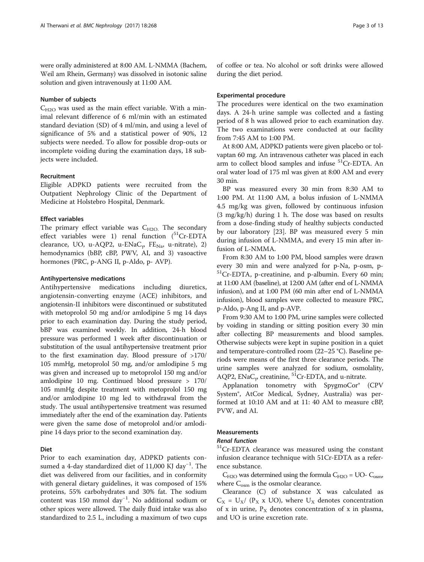were orally administered at 8:00 AM. L-NMMA (Bachem, Weil am Rhein, Germany) was dissolved in isotonic saline solution and given intravenously at 11:00 AM.

## Number of subjects

 $C_{H2O}$  was used as the main effect variable. With a minimal relevant difference of 6 ml/min with an estimated standard deviation (SD) of 4 ml/min, and using a level of significance of 5% and a statistical power of 90%, 12 subjects were needed. To allow for possible drop-outs or incomplete voiding during the examination days, 18 subjects were included.

## Recruitment

Eligible ADPKD patients were recruited from the Outpatient Nephrology Clinic of the Department of Medicine at Holstebro Hospital, Denmark.

#### Effect variables

The primary effect variable was  $C_{H2O}$ . The secondary effect variables were 1) renal function  $(^{51}Cr$ -EDTA clearance, UO, u-AQP2, u-ENaC<sub>γ</sub>, FE<sub>Na</sub>, u-nitrate), 2) hemodynamics (bBP, cBP, PWV, AI, and 3) vasoactive hormones (PRC, p-ANG II, p-Aldo, p- AVP).

#### Antihypertensive medications

Antihypertensive medications including diuretics, angiotensin-converting enzyme (ACE) inhibitors, and angiotensin-II inhibitors were discontinued or substituted with metoprolol 50 mg and/or amlodipine 5 mg 14 days prior to each examination day. During the study period, bBP was examined weekly. In addition, 24-h blood pressure was performed 1 week after discontinuation or substitution of the usual antihypertensive treatment prior to the first examination day. Blood pressure of >170/ 105 mmHg, metoprolol 50 mg, and/or amlodipine 5 mg was given and increased up to metoprolol 150 mg and/or amlodipine 10 mg. Continued blood pressure > 170/ 105 mmHg despite treatment with metoprolol 150 mg and/or amlodipine 10 mg led to withdrawal from the study. The usual antihypertensive treatment was resumed immediately after the end of the examination day. Patients were given the same dose of metoprolol and/or amlodipine 14 days prior to the second examination day.

## Diet

Prior to each examination day, ADPKD patients consumed a 4-day standardized diet of 11,000 KJ day<sup>-1</sup>. The diet was delivered from our facilities, and in conformity with general dietary guidelines, it was composed of 15% proteins, 55% carbohydrates and 30% fat. The sodium content was 150 mmol day−<sup>1</sup> . No additional sodium or other spices were allowed. The daily fluid intake was also standardized to 2.5 L, including a maximum of two cups

of coffee or tea. No alcohol or soft drinks were allowed during the diet period.

#### Experimental procedure

The procedures were identical on the two examination days. A 24-h urine sample was collected and a fasting period of 8 h was allowed prior to each examination day. The two examinations were conducted at our facility from 7:45 AM to 1:00 PM.

At 8:00 AM, ADPKD patients were given placebo or tolvaptan 60 mg. An intravenous catheter was placed in each arm to collect blood samples and infuse <sup>51</sup>Cr-EDTA. An oral water load of 175 ml was given at 8:00 AM and every 30 min.

BP was measured every 30 min from 8:30 AM to 1:00 PM. At 11:00 AM, a bolus infusion of L-NMMA 4.5 mg/kg was given, followed by continuous infusion (3 mg/kg/h) during 1 h. The dose was based on results from a dose-finding study of healthy subjects conducted by our laboratory [\[23\]](#page-12-0). BP was measured every 5 min during infusion of L-NMMA, and every 15 min after infusion of L-NMMA.

From 8:30 AM to 1:00 PM, blood samples were drawn every 30 min and were analyzed for p-Na, p-osm, p- ${}^{51}Cr$ -EDTA, p-creatinine, and p-albumin. Every 60 min; at 11:00 AM (baseline), at 12:00 AM (after end of L-NMMA infusion), and at 1:00 PM (60 min after end of L-NMMA infusion), blood samples were collected to measure PRC, p-Aldo, p-Ang II, and p-AVP.

From 9:30 AM to 1:00 PM, urine samples were collected by voiding in standing or sitting position every 30 min after collecting BP measurements and blood samples. Otherwise subjects were kept in supine position in a quiet and temperature-controlled room (22–25 °C). Baseline periods were means of the first three clearance periods. The urine samples were analyzed for sodium, osmolality, AQP2, ENaC<sub>y</sub>, creatinine, <sup>51</sup>Cr-EDTA, and u-nitrate.

Applanation tonometry with SpygmoCor® (CPV System®, AtCor Medical, Sydney, Australia) was performed at 10:10 AM and at 11: 40 AM to measure cBP, PVW, and AI.

## **Measurements**

#### Renal function

<sup>51</sup>Cr-EDTA clearance was measured using the constant infusion clearance technique with 51Cr-EDTA as a reference substance.

 $C_{H2O}$  was determined using the formula  $C_{H2O} = UO - C_{osm}$ , where  $C_{\text{osm}}$  is the osmolar clearance.

Clearance (C) of substance X was calculated as  $C_X = U_X / (P_X \times UO)$ , where  $U_X$  denotes concentration of x in urine,  $P_X$  denotes concentration of x in plasma, and UO is urine excretion rate.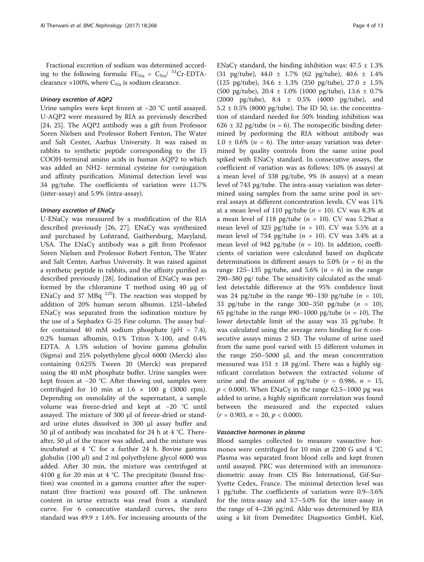Fractional excretion of sodium was determined according to the following formula:  $FE_{N_a} = C_{N_a}/{}^{51}Cr-EDTA$ clearance  $\times$ 100%, where  $C_{N_a}$  is sodium clearance.

## Urinary excretion of AQP2

Urine samples were kept frozen at −20 °C until assayed. U-AQP2 were measured by RIA as previously described [[24, 25\]](#page-12-0). The AQP2 antibody was a gift from Professor Soren Nielsen and Professor Robert Fenton, The Water and Salt Center, Aarhus University. It was raised in rabbits to synthetic peptide corresponding to the 15 COOH-terminal amino acids in human AQP2 to which was added an NH2- terminal cysteine for conjugation and affinity purification. Minimal detection level was 34 pg/tube. The coefficients of variation were 11.7% (inter-assay) and 5.9% (intra-assay).

#### Urinary excretion of ENaCγ

U-ENaCγ was measured by a modification of the RIA described previously [\[26, 27](#page-12-0)]. ENaCγ was synthesized and purchased by Lofstrand, Gaithersburg, Maryland, USA. The ENaCγ antibody was a gift from Professor Soren Nielsen and Professor Robert Fenton, The Water and Salt Center, Aarhus University. It was raised against a synthetic peptide in rabbits, and the affinity purified as described previously [\[28\]](#page-12-0). Iodination of ENaCγ was performed by the chloramine T method using 40 μg of ENaC $\gamma$  and 37 MBq  $^{125}$ I. The reaction was stopped by addition of 20% human serum albumin. 125I–labeled ENaCγ was separated from the iodination mixture by the use of a Sephadex G-25 Fine column. The assay buffer contained 40 mM sodium phosphate (pH = 7.4), 0.2% human albumin, 0.1% Triton X-100, and 0.4% EDTA. A 1.5% solution of bovine gamma globulin (Sigma) and 25% polyethylene glycol 6000 (Merck) also containing 0.625% Tween 20 (Merck) was prepared using the 40 mM phosphate buffer. Urine samples were kept frozen at −20 °C. After thawing out, samples were centrifuged for 10 min at  $1.6 \times 100$  g (3000 rpm). Depending on osmolality of the supernatant, a sample volume was freeze-dried and kept at −20 °C until assayed. The mixture of 300 μl of freeze-dried or standard urine elutes dissolved in 300 μl assay buffer and 50 μl of antibody was incubated for 24 h at 4 °C. Thereafter, 50 μl of the tracer was added, and the mixture was incubated at 4 °C for a further 24 h. Bovine gamma globulin (100 μl) and 2 ml polyethylene glycol 6000 was added. After 30 min, the mixture was centrifuged at 4100 g for 20 min at 4 °C. The precipitate (bound fraction) was counted in a gamma counter after the supernatant (free fraction) was poured off. The unknown content in urine extracts was read from a standard curve. For 6 consecutive standard curves, the zero standard was  $49.9 \pm 1.6$ %. For increasing amounts of the ENaCy standard, the binding inhibition was:  $47.5 \pm 1.3\%$ (31 pg/tube), 44.0 ± 1.7% (62 pg/tube), 40.6 ± 1.4% (125 pg/tube),  $34.6 \pm 1.3\%$  (250 pg/tube),  $27.0 \pm 1.5\%$ (500 pg/tube),  $20.4 \pm 1.0\%$  (1000 pg/tube),  $13.6 \pm 0.7\%$ (2000 pg/tube), 8.4 ± 0.5% (4000 pg/tube), and  $5.2 \pm 0.5\%$  (8000 pg/tube). The ID 50, i.e. the concentration of standard needed for 50% binding inhibition was 626  $\pm$  32 pg/tube (*n* = 6). The nonspecific binding determined by performing the RIA without antibody was 1.0  $\pm$  0.6% (*n* = 6). The inter-assay variation was determined by quality controls from the same urine pool spiked with ENaCγ standard. In consecutive assays, the coefficient of variation was as follows: 10% (6 assays) at a mean level of 338 pg/tube, 9% (6 assays) at a mean level of 743 pg/tube. The intra-assay variation was determined using samples from the same urine pool in several assays at different concentration levels. CV was 11% at a mean level of 110 pg/tube ( $n = 10$ ). CV was 8.3% at a mean level of 118 pg/tube ( $n = 10$ ). CV was 5.2%at a mean level of 325 pg/tube ( $n = 10$ ). CV was 5.5% at a mean level of 754 pg/tube  $(n = 10)$ . CV was 3.4% at a mean level of 942 pg/tube ( $n = 10$ ). In addition, coefficients of variation were calculated based on duplicate determinations in different assays to 5.0% ( $n = 6$ ) in the range 125–135 pg/tube, and 5.6% ( $n = 6$ ) in the range 290–380 pg/ tube. The sensitivity calculated as the smallest detectable difference at the 95% confidence limit was 24 pg/tube in the range 90–130 pg/tube  $(n = 10)$ , 33 pg/tube in the range 300–350 pg/tube  $(n = 10)$ , 65 pg/tube in the range 890–1000 pg/tube ( $n = 10$ ), The lower detectable limit of the assay was 35 pg/tube. It was calculated using the average zero binding for 6 consecutive assays minus 2 SD. The volume of urine used from the same pool varied with 15 different volumes in the range 250–5000 μl, and the mean concentration measured was  $151 \pm 18$  pg/ml. There was a highly significant correlation between the extracted volume of urine and the amount of pg/tube  $(r = 0.986, n = 15,$  $p < 0.000$ ). When ENaCy in the range 62.5–1000 pg was added to urine, a highly significant correlation was found between the measured and the expected values  $(r = 0.903, n = 20, p < 0.000).$ 

#### Vasoactive hormones in plasma

Blood samples collected to measure vasoactive hormones were centrifuged for 10 min at 2200 G and 4 °C. Plasma was separated from blood cells and kept frozen until assayed. PRC was determined with an immunoradiometric assay from CIS Bio International, Gif-Sur-Yvette Cedex, France. The minimal detection level was 1 pg/tube. The coefficients of variation were 0.9–3.6% for the intra-assay and 3.7–5.0% for the inter-assay in the range of 4–236 pg/ml. Aldo was determined by RIA using a kit from Demeditec Diagnostics GmbH, Kiel,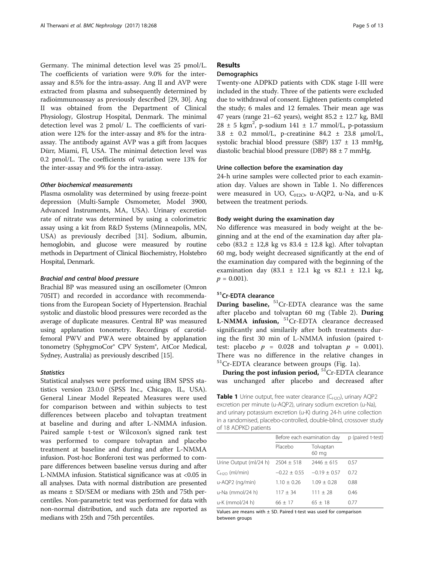Germany. The minimal detection level was 25 pmol/L. The coefficients of variation were 9.0% for the interassay and 8.5% for the intra-assay. Ang II and AVP were extracted from plasma and subsequently determined by radioimmunoassay as previously described [\[29](#page-12-0), [30\]](#page-12-0). Ang II was obtained from the Department of Clinical Physiology, Glostrup Hospital, Denmark. The minimal detection level was 2 pmol/ L. The coefficients of variation were 12% for the inter-assay and 8% for the intraassay. The antibody against AVP was a gift from Jacques Dürr, Miami, Fl, USA. The minimal detection level was 0.2 pmol/L. The coefficients of variation were 13% for the inter-assay and 9% for the intra-assay.

## Other biochemical measurements

Plasma osmolality was determined by using freeze-point depression (Multi-Sample Osmometer, Model 3900, Advanced Instruments, MA, USA). Urinary excretion rate of nitrate was determined by using a colorimetric assay using a kit from R&D Systems (Minneapolis, MN, USA) as previously decribed [\[31\]](#page-12-0). Sodium, albumin, hemoglobin, and glucose were measured by routine methods in Department of Clinical Biochemistry, Holstebro Hospital, Denmark.

#### Brachial and central blood pressure

Brachial BP was measured using an oscillometer (Omron 705IT) and recorded in accordance with recommendations from the European Society of Hypertension. Brachial systolic and diastolic blood pressures were recorded as the average of duplicate measures. Central BP was measured using applanation tonometry. Recordings of carotidfemoral PWV and PWA were obtained by applanation tonometry (SphygmoCor® CPV System®, AtCor Medical, Sydney, Australia) as previously described [\[15\]](#page-12-0).

#### **Statistics**

Statistical analyses were performed using IBM SPSS statistics version 23.0.0 (SPSS Inc., Chicago, IL, USA). General Linear Model Repeated Measures were used for comparison between and within subjects to test differences between placebo and tolvaptan treatment at baseline and during and after L-NMMA infusion. Paired sample t-test or Wilcoxon's signed rank test was performed to compare tolvaptan and placebo treatment at baseline and during and after L-NMMA infusion. Post-hoc Bonferoni test was performed to compare differences between baseline versus during and after L-NMMA infusion. Statistical significance was at <0.05 in all analyses. Data with normal distribution are presented as means ± SD/SEM or medians with 25th and 75th percentiles. Non-parametric test was performed for data with non-normal distribution, and such data are reported as medians with 25th and 75th percentiles.

## Results

## **Demographics**

Twenty-one ADPKD patients with CDK stage I-III were included in the study. Three of the patients were excluded due to withdrawal of consent. Eighteen patients completed the study; 6 males and 12 females. Their mean age was 47 years (range  $21-62$  years), weight  $85.2 \pm 12.7$  kg, BMI  $28 \pm 5$  kgm<sup>2</sup>, p-sodium 141  $\pm$  1.7 mmol/L, p-potassium 3.8 ± 0.2 mmol/L, p-creatinine 84.2 ± 23.8 μmol/L, systolic brachial blood pressure (SBP)  $137 \pm 13$  mmHg, diastolic brachial blood pressure (DBP) 88 ± 7 mmHg.

## Urine collection before the examination day

24-h urine samples were collected prior to each examination day. Values are shown in Table 1. No differences were measured in UO,  $C_{H2O}$ , u-AQP2, u-Na, and u-K between the treatment periods.

#### Body weight during the examination day

No difference was measured in body weight at the beginning and at the end of the examination day after placebo (83.2 ± 12,8 kg vs 83.4 ± 12.8 kg). After tolvaptan 60 mg, body weight decreased significantly at the end of the examination day compared with the beginning of the examination day (83.1 ± 12.1 kg vs 82.1 ± 12.1 kg,  $p = 0.001$ ).

## 51 Cr-EDTA clearance

**During baseline,**  ${}^{51}$ Cr-EDTA clearance was the same after placebo and tolvaptan 60 mg (Table [2](#page-5-0)). During **L-NMMA** infusion,  ${}^{51}$ Cr-EDTA clearance decreased significantly and similarily after both treatments during the first 30 min of L-NMMA infusion (paired ttest: placebo  $p = 0.028$  and tolvaptan  $p = 0.001$ . There was no difference in the relative changes in 51Cr-EDTA clearance between groups (Fig. [1a\)](#page-6-0).

During the post infusion period,  ${}^{51}$ Cr-EDTA clearance was unchanged after placebo and decreased after

**Table 1** Urine output, free water clearance  $(C_{H2O})$ , urinary AQP2 excretion per minute (u-AQP2), urinary sodium excretion (u-Na), and urinary potassium excretion (u-K) during 24-h urine collection in a randomised, placebo-controlled, double-blind, crossover study of 18 ADPKD patients

|                                       | Before each examination day | p (paired t-test)  |      |
|---------------------------------------|-----------------------------|--------------------|------|
|                                       | Placebo                     | Tolvaptan<br>60 mg |      |
| Urine Output (ml/24 h) $2504 \pm 518$ |                             | $7446 + 615$       | 0.57 |
| $C_{H2O}$ (ml/min)                    | $-0.22 + 0.55$              | $-0.19 + 0.57$     | 0.72 |
| u-AQP2 (ng/min)                       | $1.10 + 0.26$               | $1.09 + 0.28$      | 0.88 |
| u-Na (mmol/24 h)                      | $117 \pm 34$                | $111 + 28$         | 0.46 |
| u-K (mmol/24 h)                       | $66 + 17$                   | $65 + 18$          | 0.77 |

Values are means with  $\pm$  SD. Paired t-test was used for comparison between groups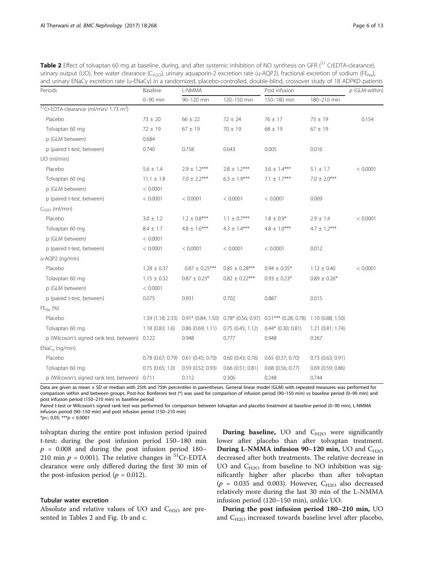<span id="page-5-0"></span>Table 2 Effect of tolvaptan 60 mg at baseline, during, and after systemic inhibition of NO synthesis on GFR (<sup>51</sup> CrEDTA-clearance), urinary output (UO), free water clearance (C<sub>H2O</sub>), urinary aquaporin-2 excretion rate (u-AQP2), fractional excretion of sodium (FE<sub>Na</sub>), and urinary ENaCγ excretion rate (u-ENaCγ) in a randomized, placebo-controlled, double-blind, crossover study of 18 ADPKD patients

| Periods                                                        | Baseline<br>L-NMMA   |                                     |                       | Post infusion                                                                                  | $p$ (GLM-within)      |          |
|----------------------------------------------------------------|----------------------|-------------------------------------|-----------------------|------------------------------------------------------------------------------------------------|-----------------------|----------|
|                                                                | 0-90 min             | 90-120 min                          | 120-150 min           | 150-180 min                                                                                    | 180-210 min           |          |
| <sup>51</sup> Cr-EDTA-clearance (ml/min/ 1.73 m <sup>2</sup> ) |                      |                                     |                       |                                                                                                |                       |          |
| Placebo                                                        | $73 \pm 20$          | $66 \pm 22$                         | $72 \pm 24$           | 76 ± 17                                                                                        | $73 \pm 19$           | 0.154    |
| Tolvaptan 60 mg                                                | $72 \pm 19$          | $67 \pm 19$                         | $70 \pm 19$           | $68 \pm 19$                                                                                    | $67 \pm 19$           |          |
| p (GLM between)                                                | 0.684                |                                     |                       |                                                                                                |                       |          |
| p (paired t-test, between)                                     | 0.740                | 0.758                               | 0.643                 | 0.005                                                                                          | 0.016                 |          |
| UO (ml/min)                                                    |                      |                                     |                       |                                                                                                |                       |          |
| Placebo                                                        | $5.6 \pm 1.4$        | $2.9 \pm 1.2***$                    | $2.8 \pm 1.2***$      | $3.6 \pm 1.4***$                                                                               | $5.1 \pm 1.7$         | < 0.0001 |
| Tolvaptan 60 mg                                                | $11.1 \pm 1.8$       | $7.0 \pm 2.2***$                    | $6.3 \pm 1.9***$      | 7.1 $\pm$ 1.7***                                                                               | $7.0 \pm 2.0***$      |          |
| p (GLM between)                                                | < 0.0001             |                                     |                       |                                                                                                |                       |          |
| p (paired t-test, between)                                     | < 0.0001             | < 0.0001                            | < 0.0001              | < 0.0001                                                                                       | 0.009                 |          |
| $C_{H2O}$ (ml/min)                                             |                      |                                     |                       |                                                                                                |                       |          |
| Placebo                                                        | $3.0 \pm 1.2$        | $1.2 \pm 0.8***$                    | $1.1 \pm 0.7***$      | $1.8 \pm 0.9*$                                                                                 | $2.9 \pm 1.4$         | < 0.0001 |
| Tolvaptan 60 mg                                                | $8.4 \pm 1.7$        | $4.8 \pm 1.6***$                    | $4.3 \pm 1.4***$      | $4.8 \pm 1.0***$                                                                               | $4.7 \pm 1.2***$      |          |
| p (GLM between)                                                | < 0.0001             |                                     |                       |                                                                                                |                       |          |
| p (paired t-test, between)                                     | < 0.0001             | < 0.0001                            | < 0.0001              | < 0.0001                                                                                       | 0.012                 |          |
| u-AQP2 (ng/min)                                                |                      |                                     |                       |                                                                                                |                       |          |
| Placebo                                                        | $1.28 \pm 0.37$      | $0.87 \pm 0.25***$                  | $0.85 \pm 0.28***$    | $0.94 \pm 0.35*$                                                                               | $1.12 \pm 0.40$       | < 0.0001 |
| Tolavptan 60 mg                                                | $1.15 \pm 0.32$      | $0.87 \pm 0.23*$                    | $0.82 \pm 0.22***$    | $0.93 \pm 0.23*$                                                                               | $0.89 \pm 0.26*$      |          |
| p (GLM between)                                                | < 0.0001             |                                     |                       |                                                                                                |                       |          |
| p (paired t-test, between)                                     | 0.075                | 0.931                               | 0.702                 | 0.887                                                                                          | 0.015                 |          |
| $FE_{Na}$ (%)                                                  |                      |                                     |                       |                                                                                                |                       |          |
| Placebo                                                        |                      |                                     |                       | 1.39 (1.18; 2.33) 0.91* (0.84; 1.50) 0.78* (0.56; 0.97) 0.51*** (0.28; 0.78) 1.10 (0.88; 1.50) |                       |          |
| Tolvaptan 60 mg                                                | 1.18(0.83; 1.6)      | $0.86$ (0.69; 1.11)                 | $0.75$ $(0.45; 1.12)$ | $0.44*$ (0.30; 0.81)                                                                           | $1.21$ (0.81; 1.74)   |          |
| p (Wilcoxon's signed rank test, between) 0.122                 |                      | 0.948                               | 0.777                 | 0.948                                                                                          | 0.267                 |          |
| $ENaCv$ (ng/min)                                               |                      |                                     |                       |                                                                                                |                       |          |
| Placebo                                                        |                      | 0.78 (0.67; 0.79) 0.61 (0.45; 0.70) | $0.60$ $(0.43; 0.76)$ | $0.65$ $(0.37; 0.70)$                                                                          | $0.73$ $(0.63; 0.91)$ |          |
| Tolvaptan 60 mg                                                | $0.75$ $(0.65; 1.0)$ | 0.59(0.52; 0.93)                    | $0.66$ $(0.51; 0.81)$ | $0.68$ (0.56; 0.77)                                                                            | $0.69$ (0.59; 0.86)   |          |
| p (Wilcoxon's signed rank test, between) 0.711                 |                      | 0.112                               | 0.306                 | 0.248                                                                                          | 0.744                 |          |

Data are given as mean ± SD or median with 25th and 75th percentiles in parentheses. General linear model (GLM) with repeated measures was performed for comparison within and between groups. Post-hoc Bonferoni test (\*) was used for comparison of infusion period (90–150 min) vs baseline period (0–90 min) and post infusion period (150–210 min) vs baseline period

Paired t-test or Wilcoxon's signed rank test was performed for comparison between tolvaptan and placebo treatment at baseline period (0–90 min), L-NMMA infusion period (90–150 min) and post infusion period (150–210 min)

 $*_{p<;0.05;***p<0.0001}$ 

tolvaptan during the entire post infusion period (paired t-test: during the post infusion period 150–180 min  $p = 0.008$  and during the post infusion period 180– 210 min  $p = 0.001$ ). The relative changes in <sup>51</sup>Cr-EDTA clearance were only differed during the first 30 min of the post-infusion period ( $p = 0.012$ ).

## Tubular water excretion

Absolute and relative values of UO and  $C_{H2O}$  are presented in Tables 2 and Fig. [1b](#page-6-0) and [c](#page-6-0).

**During baseline,** UO and  $C_{H2O}$  were significantly lower after placebo than after tolvaptan treatment. During L-NMMA infusion 90-120 min, UO and  $C_{H2O}$ decreased after both treatments. The relative decrease in UO and  $C_{H2O}$  from baseline to NO inhibition was significantly higher after placebo than after tolvaptan  $(p = 0.035$  and 0.003). However, C<sub>H2O</sub> also decreased relatively more during the last 30 min of the L-NMMA infusion period (120–150 min), unlike UO.

During the post infusion period 180–210 min, UO and  $C_{H2O}$  increased towards baseline level after placebo,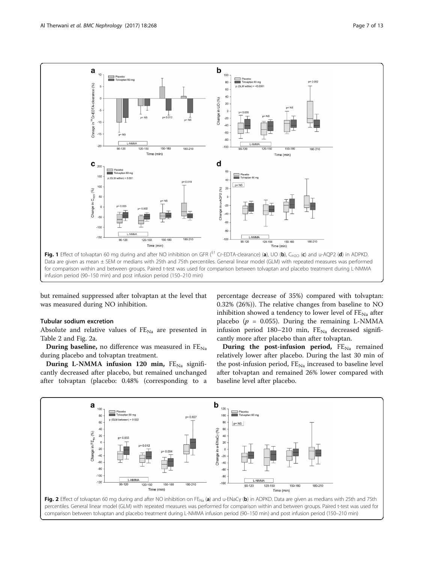<span id="page-6-0"></span>

but remained suppressed after tolvaptan at the level that was measured during NO inhibition.

## Tubular sodium excretion

Absolute and relative values of  $FE_{Na}$  are presented in Table [2](#page-5-0) and Fig. 2a.

**During baseline,** no difference was measured in  $FE_{Na}$ during placebo and tolvaptan treatment.

During L-NMMA infusion 120 min,  $FE_{Na}$  significantly decreased after placebo, but remained unchanged after tolvaptan (placebo: 0.48% (corresponding to a

percentage decrease of 35%) compared with tolvaptan: 0.32% (26%)). The relative changes from baseline to NO inhibition showed a tendency to lower level of  $FE_{Na}$  after placebo ( $p = 0.055$ ). During the remaining L-NMMA infusion period  $180-210$  min,  $FE_{Na}$  decreased significantly more after placebo than after tolvaptan.

During the post-infusion period,  $FE_{Na}$  remained relatively lower after placebo. During the last 30 min of the post-infusion period,  $FE_{Na}$  increased to baseline level after tolvaptan and remained 26% lower compared with baseline level after placebo.

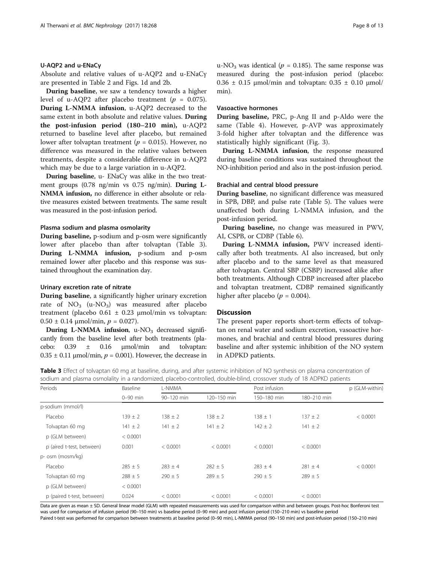## U-AQP2 and u-ENaCγ

Absolute and relative values of u-AQP2 and u-ENaCγ are presented in Table [2](#page-5-0) and Figs. [1d](#page-6-0) and [2b.](#page-6-0)

During baseline, we saw a tendency towards a higher level of u-AQP2 after placebo treatment ( $p = 0.075$ ). During L-NMMA infusion, u-AQP2 decreased to the same extent in both absolute and relative values. During the post-infusion period (180–210 min), u-AQP2 returned to baseline level after placebo, but remained lower after tolvaptan treatment ( $p = 0.015$ ). However, no difference was measured in the relative values between treatments, despite a considerable difference in u-AQP2 which may be due to a large variation in u-AQP2.

During baseline, u- ENaCγ was alike in the two treatment groups (0.78 ng/min vs 0.75 ng/min). During L-NMMA infusion, no difference in either absolute or relative measures existed between treatments. The same result was measured in the post-infusion period.

## Plasma sodium and plasma osmolarity

During baseline, p-sodium and p-osm were significantly lower after placebo than after tolvaptan (Table 3). During L-NMMA infusion, p-sodium and p-osm remained lower after placebo and this response was sustained throughout the examination day.

#### Urinary excretion rate of nitrate

During baseline, a significantly higher urinary excretion rate of  $NO_3$  (u- $NO_3$ ) was measured after placebo treatment (placebo  $0.61 \pm 0.23$  µmol/min vs tolvaptan:  $0.50 \pm 0.14$  µmol/min,  $p = 0.027$ ).

During L-NMMA infusion,  $u$ -NO<sub>3</sub> decreased significantly from the baseline level after both treatments (placebo:  $0.39 \pm 0.16 \pm 0.16$  mol/min and tolvaptan:  $0.35 \pm 0.11$  µmol/min,  $p = 0.001$ ). However, the decrease in

u-NO<sub>3</sub> was identical ( $p = 0.185$ ). The same response was measured during the post-infusion period (placebo:  $0.36 \pm 0.15$  μmol/min and tolvaptan:  $0.35 \pm 0.10$  μmol/ min).

#### Vasoactive hormones

During baseline, PRC, p-Ang II and p-Aldo were the same (Table [4\)](#page-8-0). However, p-AVP was approximately 3-fold higher after tolvaptan and the difference was statistically highly significant (Fig. [3\)](#page-8-0).

During L-NMMA infusion, the response measured during baseline conditions was sustained throughout the NO-inhibition period and also in the post-infusion period.

#### Brachial and central blood pressure

During baseline, no significant difference was measured in SPB, DBP, and pulse rate (Table [5\)](#page-9-0). The values were unaffected both during L-NMMA infusion, and the post-infusion period.

During baseline, no change was measured in PWV, AI, CSPB, or CDBP (Table [6](#page-10-0)).

During L-NMMA infusion, PWV increased identically after both treatments. AI also increased, but only after placebo and to the same level as that measured after tolvaptan. Central SBP (CSBP) increased alike after both treatments. Although CDBP increased after placebo and tolvaptan treatment, CDBP remained significantly higher after placebo ( $p = 0.004$ ).

#### **Discussion**

The present paper reports short-term effects of tolvaptan on renal water and sodium excretion, vasoactive hormones, and brachial and central blood pressures during baseline and after systemic inhibition of the NO system in ADPKD patients.

|  | Table 3 Effect of tolvaptan 60 mg at baseline, during, and after systemic inhibition of NO synthesis on plasma concentration of |  |  |
|--|---------------------------------------------------------------------------------------------------------------------------------|--|--|
|  | sodium and plasma osmolality in a randomized, placebo-controlled, double-blind, crossover study of 18 ADPKD patients            |  |  |

| Periods                    | Baseline    | L-NMMA      |             |             | Post infusion |          |
|----------------------------|-------------|-------------|-------------|-------------|---------------|----------|
|                            | $0-90$ min  | 90-120 min  | 120-150 min | 150-180 min | 180-210 min   |          |
| p-sodium (mmol/l)          |             |             |             |             |               |          |
| Placebo                    | $139 \pm 2$ | $138 \pm 2$ | $138 \pm 2$ | $138 \pm 1$ | $137 \pm 2$   | < 0.0001 |
| Tolvaptan 60 mg            | $141 \pm 2$ | $141 \pm 2$ | $141 \pm 2$ | $142 \pm 2$ | $141 \pm 2$   |          |
| p (GLM between)            | < 0.0001    |             |             |             |               |          |
| p (aired t-test, between)  | 0.001       | < 0.0001    | < 0.0001    | < 0.0001    | < 0.0001      |          |
| p- osm (mosm/kg)           |             |             |             |             |               |          |
| Placebo                    | $285 \pm 5$ | $283 \pm 4$ | $282 \pm 5$ | $283 \pm 4$ | $281 + 4$     | < 0.0001 |
| Tolvaptan 60 mg            | $288 \pm 5$ | $290 \pm 5$ | $289 \pm 5$ | $290 \pm 5$ | $289 \pm 5$   |          |
| p (GLM between)            | < 0.0001    |             |             |             |               |          |
| p (paired t-test, between) | 0.024       | < 0.0001    | < 0.0001    | < 0.0001    | < 0.0001      |          |

Data are given as mean ± SD. General linear model (GLM) with repeated measurements was used for comparison within and between groups. Post-hoc Bonferoni test was used for comparison of infusion period (90–150 min) vs baseline period (0–90 min) and post infusion period (150–210 min) vs baseline period Paired t-test was performed for comparison between treatments at baseline period (0–90 min), L-NMMA period (90–150 min) and post-infusion period (150–210 min)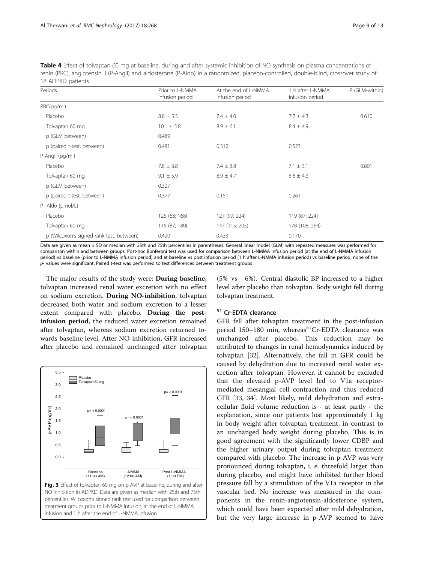<span id="page-8-0"></span>Table 4 Effect of tolvaptan 60 mg at baseline, during and after systemic inhibition of NO synthesis on plasma concentrations of renin (PRC), angiotensin II (P-AngII) and aldosterone (P-Aldo) in a randomized, placebo-controlled, double-blind, crossover study of 18 ADPKD patients

| Periods                                  | Prior to L-NMMA<br>infusion period | At the end of L-NMMA<br>infusion period | 1 h after L-NMMA<br>infusion period | P (GLM-within) |
|------------------------------------------|------------------------------------|-----------------------------------------|-------------------------------------|----------------|
| PRC(pg/ml)                               |                                    |                                         |                                     |                |
| Placebo                                  | $8.8 \pm 5.3$                      | $7.4 \pm 4.0$                           | $7.7 \pm 4.3$                       | 0.610          |
| Tolvaptan 60 mg                          | $10.1 \pm 5.8$                     | $8.9 \pm 6.1$                           | $8.4 \pm 4.9$                       |                |
| p (GLM between)                          | 0.489                              |                                         |                                     |                |
| p (paired t-test, between)               | 0.481                              | 0.312                                   | 0.523                               |                |
| P-Angll (pg/ml)                          |                                    |                                         |                                     |                |
| Placebo                                  | $7.8 \pm 3.8$                      | $7.4 \pm 3.8$                           | $7.1 \pm 3.1$                       | 0.801          |
| Tolvaptan 60 mg                          | $9.1 \pm 5.9$                      | $8.9 \pm 4.7$                           | $8.6 \pm 4.3$                       |                |
| p (GLM between)                          | 0.327                              |                                         |                                     |                |
| p (paired t-test, between)               | 0.377                              | 0.151                                   | 0.261                               |                |
| P- Aldo (pmol/L)                         |                                    |                                         |                                     |                |
| Placebo                                  | 125 (68; 168)                      | 127 (99; 224)                           | 119 (87; 224)                       |                |
| Tolvaptan 60 mg                          | 115 (87; 180)                      | 147 (115; 205)                          | 178 (108; 264)                      |                |
| p (Wilcoxon's signed rank test, between) | 0.420                              | 0.433                                   | 0.170                               |                |

Data are given as mean ± SD or median with 25th and 75th percentiles in parentheses. General linear model (GLM) with repeated measures was performed for comparison within and between groups. Post-hoc Bonferoni test was used for comparison between L-NMMA infusion period (at the end of L-NMMA infusion period) vs baseline (prior to L-NMMA infusion period) and at baseline vs post infusion period (1 h after L-NMMA infusion period) vs baseline period, none of the  $p$ - values were significant. Paired t-test was performed to test differences between treatment groups

The major results of the study were: During baseline, tolvaptan increased renal water excretion with no effect on sodium excretion. During NO-inhibition, tolvaptan decreased both water and sodium excretion to a lesser extent compared with placebo. During the postinfusion period, the reduced water excretion remained after tolvaptan, whereas sodium excretion returned towards baseline level. After NO-inhibition, GFR increased after placebo and remained unchanged after tolvaptan



(5% vs −6%). Central diastolic BP increased to a higher level after placebo than tolvaptan. Body weight fell during tolvaptan treatment.

## <sup>51</sup> Cr-EDTA clearance

GFR fell after tolvaptan treatment in the post-infusion period 150–180 min, whereas<sup>51</sup>Cr-EDTA clearance was unchanged after placebo. This reduction may be attributed to changes in renal hemodynamics induced by tolvaptan [[32\]](#page-12-0). Alternatively, the fall in GFR could be caused by dehydration due to increased renal water excretion after tolvaptan. However, it cannot be excluded that the elevated p-AVP level led to V1a receptormediated mesangial cell contraction and thus reduced GFR [[33](#page-12-0), [34\]](#page-12-0). Most likely, mild dehydration and extracellular fluid volume reduction is - at least partly - the explanation, since our patients lost approximately 1 kg in body weight after tolvaptan treatment, in contrast to an unchanged body weight during placebo. This is in good agreement with the significantly lower CDBP and the higher urinary output during tolvaptan treatment compared with placebo. The increase in p-AVP was very pronounced during tolvaptan, i. e. threefold larger than during placebo, and might have inhibited further blood pressure fall by a stimulation of the V1a receptor in the vascular bed. No increase was measured in the components in the renin-angiotensin-aldosterone system, which could have been expected after mild dehydration, but the very large increase in p-AVP seemed to have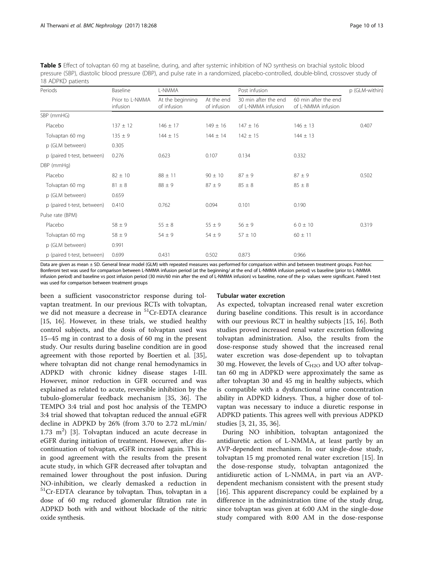<span id="page-9-0"></span>Table 5 Effect of tolvaptan 60 mg at baseline, during, and after systemic inhibition of NO synthesis on brachial systolic blood pressure (SBP), diastolic blood pressure (DBP), and pulse rate in a randomized, placebo-controlled, double-blind, crossover study of 18 ADPKD patients

| Periods                    | Baseline                    | L-NMMA                          |                           | Post infusion                              |                                            | p (GLM-within) |
|----------------------------|-----------------------------|---------------------------------|---------------------------|--------------------------------------------|--------------------------------------------|----------------|
|                            | Prior to L-NMMA<br>infusion | At the beginning<br>of infusion | At the end<br>of infusion | 30 min after the end<br>of L-NMMA infusion | 60 min after the end<br>of L-NMMA infusion |                |
| SBP (mmHG)                 |                             |                                 |                           |                                            |                                            |                |
| Placebo                    | $137 \pm 12$                | $146 \pm 17$                    | $149 \pm 16$              | $147 \pm 16$                               | $146 \pm 13$                               | 0.407          |
| Tolvaptan 60 mg            | $135 \pm 9$                 | $144 \pm 15$                    | $144 \pm 14$              | $142 \pm 15$                               | $144 \pm 13$                               |                |
| p (GLM between)            | 0.305                       |                                 |                           |                                            |                                            |                |
| p (paired t-test, between) | 0.276                       | 0.623                           | 0.107                     | 0.134                                      | 0.332                                      |                |
| DBP (mmHg)                 |                             |                                 |                           |                                            |                                            |                |
| Placebo                    | $82 \pm 10$                 | $88 \pm 11$                     | $90 \pm 10$               | $87\pm9$                                   | $87 \pm 9$                                 | 0.502          |
| Tolvaptan 60 mg            | $81 \pm 8$                  | $88 \pm 9$                      | $87 \pm 9$                | $85 \pm 8$                                 | $85 \pm 8$                                 |                |
| p (GLM between)            | 0.659                       |                                 |                           |                                            |                                            |                |
| p (paired t-test, between) | 0.410                       | 0.762                           | 0.094                     | 0.101                                      | 0.190                                      |                |
| Pulse rate (BPM)           |                             |                                 |                           |                                            |                                            |                |
| Placebo                    | $58 \pm 9$                  | $55 \pm 8$                      | $55 \pm 9$                | $56 \pm 9$                                 | $60 \pm 10$                                | 0.319          |
| Tolvaptan 60 mg            | $58 \pm 9$                  | $54 \pm 9$                      | $54 \pm 9$                | $57 \pm 10$                                | $60 \pm 11$                                |                |
| p (GLM between)            | 0.991                       |                                 |                           |                                            |                                            |                |
| p (paired t-test, between) | 0.699                       | 0.431                           | 0.502                     | 0.873                                      | 0.966                                      |                |

Data are given as mean ± SD. General linear model (GLM) with repeated measures was performed for comparison within and between treatment groups. Post-hoc Bonferoni test was used for comparison between L-NMMA infusion period (at the beginning/ at the end of L-NMMA infusion period) vs baseline (prior to L-NMMA infusion period) and baseline vs post infusion period (30 min/60 min after the end of L-NMMA infusion) vs baseline, none of the p- values were significant. Paired t-test was used for comparison between treatment groups

been a sufficient vasoconstrictor response during tolvaptan treatment. In our previous RCTs with tolvaptan, we did not measure a decrease in <sup>51</sup>Cr-EDTA clearance [[15, 16](#page-12-0)]. However, in these trials, we studied healthy control subjects, and the dosis of tolvaptan used was 15–45 mg in contrast to a dosis of 60 mg in the present study. Our results during baseline condition are in good agreement with those reported by Boertien et al. [\[35](#page-12-0)], where tolvaptan did not change renal hemodynamics in ADPKD with chronic kidney disease stages I-III. However, minor reduction in GFR occurred and was explained as related to acute, reversible inhibition by the tubulo-glomerular feedback mechanism [\[35](#page-12-0), [36](#page-12-0)]. The TEMPO 3:4 trial and post hoc analysis of the TEMPO 3:4 trial showed that tolvaptan reduced the annual eGFR decline in ADPKD by 26% (from 3.70 to 2.72 mL/min/  $1.73 \text{ m}^2$ ) [[3\]](#page-11-0). Tolvaptan induced an acute decrease in eGFR during initiation of treatment. However, after discontinuation of tolvaptan, eGFR increased again. This is in good agreement with the results from the present acute study, in which GFR decreased after tolvaptan and remained lower throughout the post infusion. During NO-inhibition, we clearly demasked a reduction in <sup>51</sup>Cr-EDTA clearance by tolvaptan. Thus, tolvaptan in a dose of 60 mg reduced glomerular filtration rate in ADPKD both with and without blockade of the nitric oxide synthesis.

#### Tubular water excretion

As expected, tolvaptan increased renal water excretion during baseline conditions. This result is in accordance with our previous RCT in healthy subjects [[15, 16\]](#page-12-0). Both studies proved increased renal water excretion following tolvaptan administration. Also, the results from the dose-response study showed that the increased renal water excretion was dose-dependent up to tolvaptan 30 mg. However, the levels of  $C_{H2O}$  and UO after tolvaptan 60 mg in ADPKD were approximately the same as after tolvaptan 30 and 45 mg in healthy subjects, which is compatible with a dysfunctional urine concentration ability in ADPKD kidneys. Thus, a higher dose of tolvaptan was necessary to induce a diuretic response in ADPKD patients. This agrees well with previous ADPKD studies [\[3,](#page-11-0) [21, 35, 36\]](#page-12-0).

During NO inhibition, tolvaptan antagonized the antidiuretic action of L-NMMA, at least partly by an AVP-dependent mechanism. In our single-dose study, tolvaptan 15 mg promoted renal water excretion [[15](#page-12-0)]. In the dose-response study, tolvaptan antagonized the antidiuretic action of L-NMMA, in part via an AVPdependent mechanism consistent with the present study [[16\]](#page-12-0). This apparent discrepancy could be explained by a difference in the administration time of the study drug, since tolvaptan was given at 6:00 AM in the single-dose study compared with 8:00 AM in the dose-response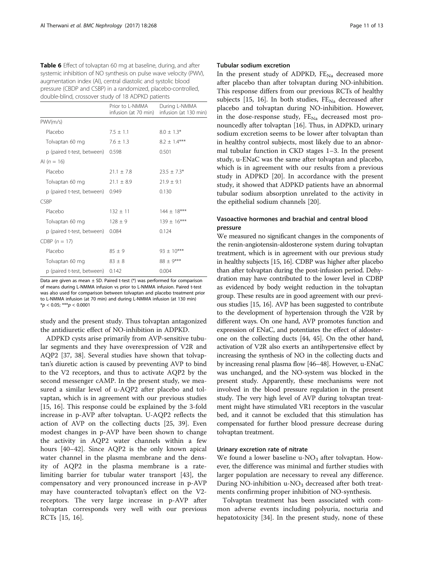<span id="page-10-0"></span>

| Table 6 Effect of tolvaptan 60 mg at baseline, during, and after  |
|-------------------------------------------------------------------|
| systemic inhibition of NO synthesis on pulse wave velocity (PWV), |
| augmentation index (AI), central diastolic and systolic blood     |
| pressure (CBDP and CSBP) in a randomized, placebo-controlled,     |
| double-blind, crossover study of 18 ADPKD patients                |

|                            | Prior to I-NMMA<br>infusion (at 70 min) | During L-NMMA<br>infusion (at 130 min) |
|----------------------------|-----------------------------------------|----------------------------------------|
| PWV(m/s)                   |                                         |                                        |
| Placebo                    | $7.5 \pm 1.1$                           | $8.0 \pm 1.3*$                         |
| Tolvaptan 60 mg            | $7.6 \pm 1.3$                           | $8.2 \pm 1.4***$                       |
| p (paired t-test, between) | 0.598                                   | 0.501                                  |
| AI $(n = 16)$              |                                         |                                        |
| Placebo                    | $21.1 \pm 7.8$                          | $23.5 \pm 7.3*$                        |
| Tolvaptan 60 mg            | $21.1 \pm 8.9$                          | $21.9 \pm 9.1$                         |
| p (paired t-test, between) | 0.949                                   | 0.130                                  |
| <b>CSBP</b>                |                                         |                                        |
| Placebo                    | $132 \pm 11$                            | $144 \pm 18***$                        |
| Tolvaptan 60 mg            | $128 \pm 9$                             | $139 \pm 16***$                        |
| p (paired t-test, between) | 0.084                                   | 0.124                                  |
| CDBP $(n = 17)$            |                                         |                                        |
| Placebo                    | $85 \pm 9$                              | $93 \pm 10***$                         |
| Tolvaptan 60 mg            | $83 \pm 8$                              | $88 \pm 9***$                          |
| p (paired t-test, between) | 0.142                                   | 0.004                                  |

Data are given as mean  $\pm$  SD. Paired t-test  $(*)$  was performed for comparison of means during L-NMMA infusion vs prior to L-NMMA infusion. Paired t-test was also used for comparison between tolvaptan and placebo treatment prior to L-NMMA infusion (at 70 min) and during L-NMMA infusion (at 130 min)  $*<sub>p</sub> < 0.05$ ; \*\*\* $<sub>p</sub> < 0.0001$ </sub>

study and the present study. Thus tolvaptan antagonized the antidiuretic effect of NO-inhibition in ADPKD.

ADPKD cysts arise primarily from AVP-sensitive tubular segments and they have overexpression of V2R and AQP2 [[37, 38\]](#page-12-0). Several studies have shown that tolvaptan's diuretic action is caused by preventing AVP to bind to the V2 receptors, and thus to activate AQP2 by the second messenger cAMP. In the present study, we measured a similar level of u-AQP2 after placebo and tolvaptan, which is in agreement with our previous studies [[15, 16](#page-12-0)]. This response could be explained by the 3-fold increase in p-AVP after tolvaptan. U-AQP2 reflects the action of AVP on the collecting ducts [\[25](#page-12-0), [39](#page-12-0)]. Even modest changes in p-AVP have been shown to change the activity in AQP2 water channels within a few hours [\[40](#page-12-0)–[42](#page-12-0)]. Since AQP2 is the only known apical water channel in the plasma membrane and the density of AQP2 in the plasma membrane is a ratelimiting barrier for tubular water transport [[43](#page-12-0)], the compensatory and very pronounced increase in p-AVP may have counteracted tolvaptan's effect on the V2 receptors. The very large increase in p-AVP after tolvaptan corresponds very well with our previous RCTs [\[15](#page-12-0), [16](#page-12-0)].

## Tubular sodium excretion

In the present study of ADPKD,  $FE_{N_a}$  decreased more after placebo than after tolvaptan during NO-inhibition. This response differs from our previous RCTs of healthy subjects [[15, 16\]](#page-12-0). In both studies,  $FE_{Na}$  decreased after placebo and tolvaptan during NO-inhibition. However, in the dose-response study,  $FE_{N_a}$  decreased most pronouncedly after tolvaptan [[16](#page-12-0)]. Thus, in ADPKD, urinary sodium excretion seems to be lower after tolvaptan than in healthy control subjects, most likely due to an abnormal tubular function in CKD stages 1–3. In the present study, u-ENaC was the same after tolvaptan and placebo, which is in agreement with our results from a previous study in ADPKD [[20\]](#page-12-0). In accordance with the present study, it showed that ADPKD patients have an abnormal tubular sodium absorption unrelated to the activity in the epithelial sodium channels [[20](#page-12-0)].

## Vasoactive hormones and brachial and central blood pressure

We measured no significant changes in the components of the renin-angiotensin-aldosterone system during tolvaptan treatment, which is in agreement with our previous study in healthy subjects [[15](#page-12-0), [16](#page-12-0)]. CDBP was higher after placebo than after tolvaptan during the post-infusion period. Dehydration may have contributed to the lower level in CDBP as evidenced by body weight reduction in the tolvaptan group. These results are in good agreement with our previous studies [[15](#page-12-0), [16\]](#page-12-0). AVP has been suggested to contribute to the development of hypertension through the V2R by different ways. On one hand, AVP promotes function and expression of ENaC, and potentiates the effect of aldosterone on the collecting ducts [\[44, 45](#page-12-0)]. On the other hand, activation of V2R also exerts an antihypertensive effect by increasing the synthesis of NO in the collecting ducts and by increasing renal plasma flow [\[46](#page-12-0)–[48](#page-12-0)]. However, u-ENaC was unchanged, and the NO-system was blocked in the present study. Apparently, these mechanisms were not involved in the blood pressure regulation in the present study. The very high level of AVP during tolvaptan treatment might have stimulated VR1 receptors in the vascular bed, and it cannot be excluded that this stimulation has compensated for further blood pressure decrease during tolvaptan treatment.

## Urinary excretion rate of nitrate

We found a lower baseline u- $NO<sub>3</sub>$  after tolvaptan. However, the difference was minimal and further studies with larger population are necessary to reveal any difference. During NO-inhibition  $u$ -NO<sub>3</sub> decreased after both treatments confirming proper inhibition of NO-synthesis.

Tolvaptan treatment has been associated with common adverse events including polyuria, nocturia and hepatotoxicity [[34\]](#page-12-0). In the present study, none of these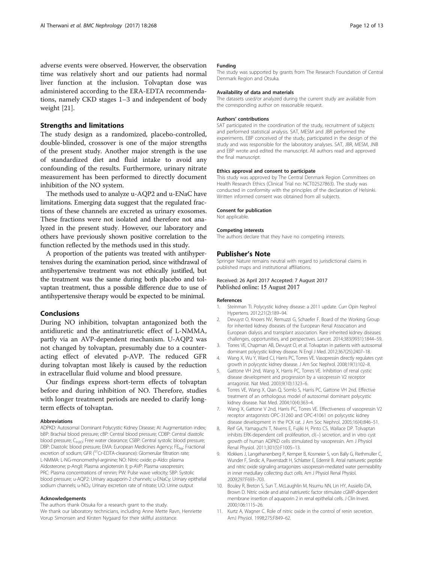## <span id="page-11-0"></span>Strengths and limitations

The study design as a randomized, placebo-controlled, double-blinded, crossover is one of the major strengths of the present study. Another major strength is the use of standardized diet and fluid intake to avoid any confounding of the results. Furthermore, urinary nitrate measurement has been performed to directly document inhibition of the NO system.

The methods used to analyze u-AQP2 and u-ENaC have limitations. Emerging data suggest that the regulated fractions of these channels are excreted as urinary exosomes. These fractions were not isolated and therefore not analyzed in the present study. However, our laboratory and others have previously shown positive correlation to the function reflected by the methods used in this study.

A proportion of the patients was treated with antihypertensives during the examination period, since withdrawal of antihypertensive treatment was not ethically justified, but the treatment was the same during both placebo and tolvaptan treatment, thus a possible difference due to use of antihypertensive therapy would be expected to be minimal.

## Conclusions

During NO inhibition, tolvaptan antagonized both the antidiuretic and the antinatriuretic effect of L-NMMA, partly via an AVP-dependent mechanism. U-AQP2 was not changed by tolvaptan, presumably due to a counteracting effect of elevated p-AVP. The reduced GFR during tolvaptan most likely is caused by the reduction in extracellular fluid volume and blood pressure.

Our findings express short-term effects of tolvaptan before and during inhibition of NO. Therefore, studies with longer treatment periods are needed to clarify longterm effects of tolvaptan.

#### Abbreviations

ADPKD: Autosomal Dominant Polycystic Kidney Disease; AI: Augmentation index; bBP: Brachial blood pressure; cBP: Central blood pressure; CDBP: Central diastolic blood pressure; C<sub>H2O</sub>: Free water clearance; CSBP: Central systolic blood pressure; DBP: Diastolic blood pressure; EMA: European Medicines Agency; FE<sub>Na</sub>: Fractional excretion of sodium; GFR  $(^{51}$ Cr-EDTA-clearance): Glomerular filtration rate; L-NMMA: L-NG-monomethyl-arginine; NO: Nitric oxide; p-Aldo: plasma Aldosterone; p-AngII: Plasma angiotensin II; p-AVP: Plasma vasopressin; PRC: Plasma concentrations of rennin; PW: Pulse wave velocity; SBP: Systolic blood pressure; u-AQP2: Urinary aquaporin-2 channels; u-ENaCγ: Urinary epithelial sodium channels; u-NO<sub>3</sub>: Urinary excretion rate of nitrate; UO: Urine output

#### Acknowledgements

The authors thank Otsuka for a research grant to the study. We thank our laboratory technicians, including Anne Mette Ravn, Henriette Vorup Simonsen and Kirsten Nygaard for their skillful assistance.

#### Funding

The study was supported by grants from The Research Foundation of Central Denmark Region and Otsuka.

#### Availability of data and materials

The datasets used/or analyzed during the current study are available from the corresponding author on reasonable request.

#### Authors' contributions

SAT participated in the coordination of the study, recruitment of subjects and performed statistical analysis. SAT, MESM and JBR performed the experiments. EBP conceived of the study, participated in the design of the study and was responsible for the laboratory analyses. SAT, JBR, MESM, JNB and EBP wrote and edited the manuscript. All authors read and approved the final manuscript.

#### Ethics approval and consent to participate

This study was approved by The Central Denmark Region Committees on Health Research Ethics (Clinical Trial no: NCT02527863). The study was conducted in conformity with the principles of the declaration of Helsinki. Written informed consent was obtained from all subjects.

#### Consent for publication

Not applicable.

#### Competing interests

The authors declare that they have no competing interests.

#### Publisher's Note

Springer Nature remains neutral with regard to jurisdictional claims in published maps and institutional affiliations.

#### Received: 26 April 2017 Accepted: 7 August 2017 Published online: 15 August 2017

#### References

- 1. Steinman TI. Polycystic kidney disease: a 2011 update. Curr Opin Nephrol Hypertens. 2012;21(2):189–94.
- 2. Devuyst O, Knoers NV, Remuzzi G, Schaefer F. Board of the Working Group for inherited kidney diseases of the European Renal Association and European dialysis and transplant association. Rare inherited kidney diseases: challenges, opportunities, and perspectives. Lancet. 2014;383(9931):1844–59.
- 3. Torres VE, Chapman AB, Devuyst O, et al. Tolvaptan in patients with autosomal dominant polycystic kidney disease. N Engl J Med. 2012;367(25):2407–18.
- 4. Wang X, Wu Y, Ward CJ, Harris PC, Torres VE. Vasopressin directly regulates cyst growth in polycystic kidney disease. J Am Soc Nephrol. 2008;19(1):102–8.
- 5. Gattone VH 2nd, Wang X, Harris PC, Torres VE. Inhibition of renal cystic disease development and progression by a vasopressin V2 receptor antagonist. Nat Med. 2003;9(10):1323–6.
- 6. Torres VE, Wang X, Qian Q, Somlo S, Harris PC, Gattone VH 2nd. Effective treatment of an orthologous model of autosomal dominant polycystic kidney disease. Nat Med. 2004;10(4):363–4.
- 7. Wang X, Gattone V 2nd, Harris PC, Torres VE. Effectiveness of vasopressin V2 receptor antagonists OPC-31260 and OPC-41061 on polycystic kidney disease development in the PCK rat. J Am Soc Nephrol. 2005;16(4):846–51.
- 8. Reif GA, Yamaguchi T, Nivens E, Fujiki H, Pinto CS, Wallace DP. Tolvaptan inhibits ERK-dependent cell proliferation, cl(−) secretion, and in vitro cyst growth of human ADPKD cells stimulated by vasopressin. Am J Physiol Renal Physiol. 2011;301(5):F1005–13.
- 9. Klokkers J, Langehanenberg P, Kemper B, Kosmeier S, von Bally G, Riethmuller C, Wunder F, Sindic A, Pavenstadt H, Schlatter E, Edemir B. Atrial natriuretic peptide and nitric oxide signaling antagonizes vasopressin-mediated water permeability in inner medullary collecting duct cells. Am J Physiol Renal Physiol. 2009;297:F693–703.
- 10. Bouley R, Breton S, Sun T, McLaughlin M, Nsumu NN, Lin HY, Ausiello DA, Brown D. Nitric oxide and atrial natriuretic factor stimulate cGMP-dependent membrane insertion of aquaporin 2 in renal epithelial cells. J Clin Invest. 2000;106:1115–26.
- 11. Kurtz A, Wagner C. Role of nitric oxide in the control of renin secretion. AmJ Physiol. 1998;275:F849–62.